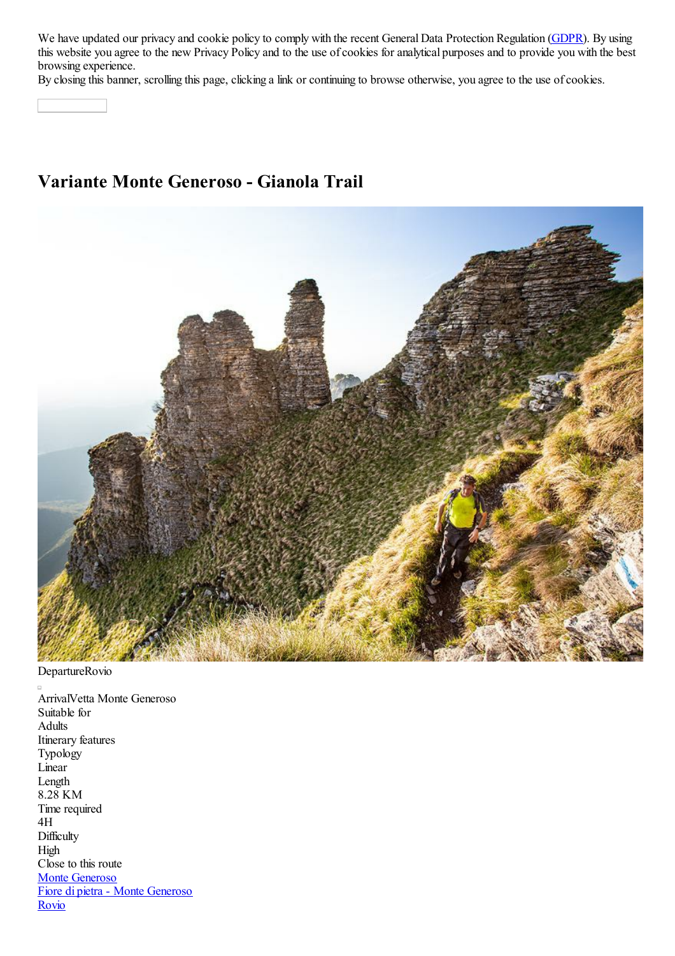We have updated our privacy and cookie policy to comply with the recent General Data Protection Regulation (GDPR). By using this website you agree to the new Privacy Policy and to the use of cookies for analytical purposes and to provide you with the best browsing experience.

By closing this banner, scrolling this page, clicking a link or continuing to browse otherwise, you agree to the use of cookies.

## **Variante Monte Generoso - Gianola Trail**



DepartureRovio

ArrivalVetta Monte Generoso Suitable for Adults Itinerary features Typology Linear Length 8.28 KM Time required 4H **Difficulty** High Close to this route Monte Generoso Fiore di pietra - Monte Generoso Rovio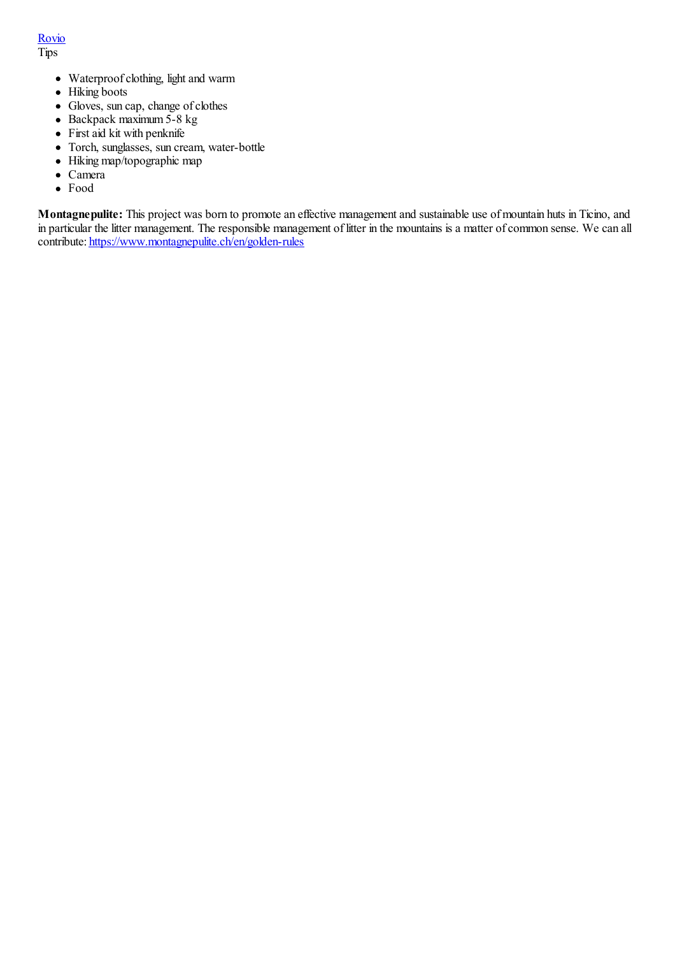Rovio Tips

- Waterproof clothing, light and warm
- Hiking boots
- Gloves, sun cap, change of clothes
- $\bullet$  Backpack maximum 5-8 kg
- First aid kit with penknife
- Torch, sunglasses, sun cream, water-bottle
- Hiking map/topographic map
- Camera
- Food

**Montagnepulite:** This project was born to promote an effective management and sustainable use of mountain huts in Ticino, and in particular the litter management. The responsible management of litter in the mountains is a matter of common sense. We can all contribute: https://www.montagnepulite.ch/en/golden-rules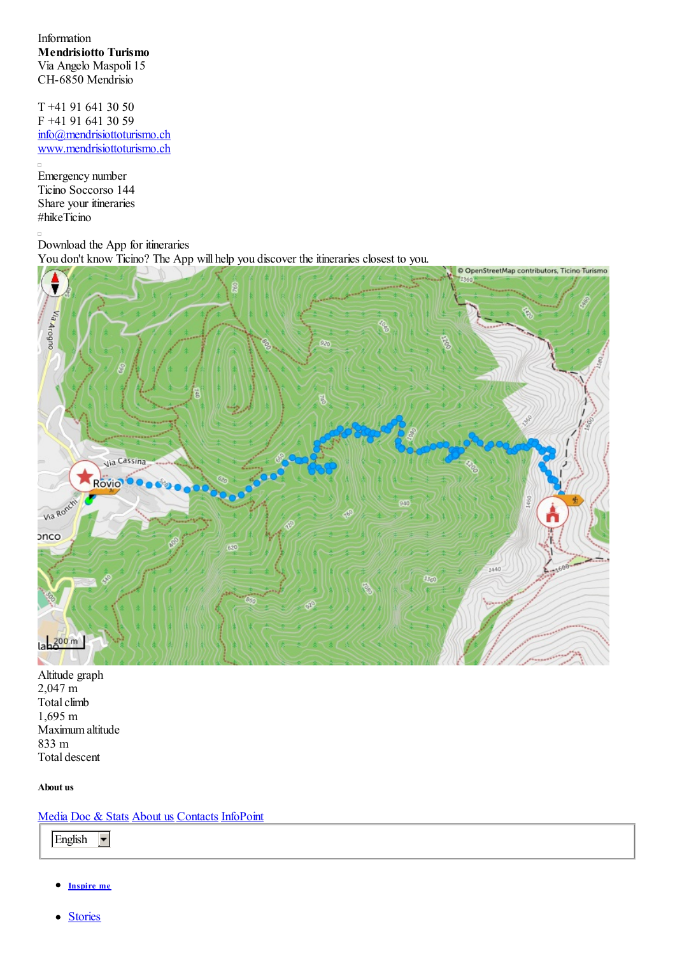Information **Mendrisiotto Turismo** Via Angelo Maspoli 15 CH-6850 Mendrisio

T +41 91 641 30 50 F +41 91 641 30 59 info@mendrisiottoturismo.ch www.mendrisiottoturismo.ch

Emergency number Ticino Soccorso 144 Share your itineraries #hikeTicino

 $\overline{\phantom{a}}$ 

 $\Box$ 

Download the App for itineraries You don't know Ticino? The App will help you discover the itineraries closest to you.



Altitude graph 2,047 m Total climb 1,695 m Maximum altitude 833 m Total descent

## **About us**

Media Doc & Stats About us Contacts InfoPoint

English  $\overline{\phantom{a}}$ 

- **Inspire me**
- **Stories**  $\bullet$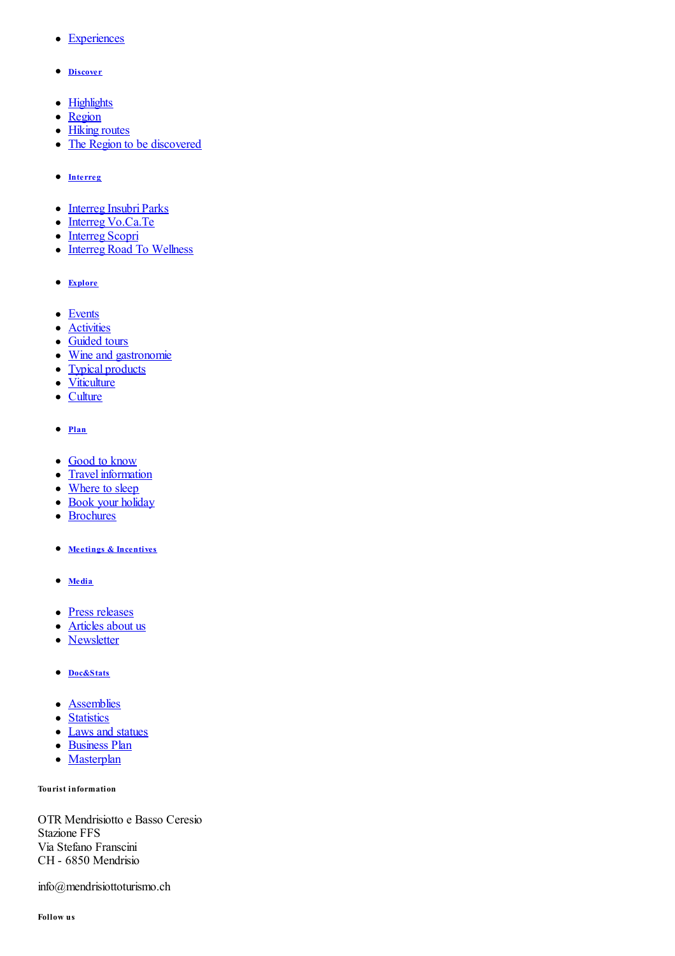- **Experiences**
- **Discover**
- Highlights
- Region
- Hiking routes
- The Region to be discovered
- **Interreg**
- Interreg Insubri Parks
- Interreg Vo.Ca.Te
- Interreg Scopri
- Interreg Road To Wellness
- **Explore**
- Events
- **Activities**
- Guided tours
- Wine and gastronomie
- Typical products
- Viticulture
- Culture
- **Plan**
- Good to know
- Travel information
- Where to sleep
- Book your holiday
- Brochures
- **Meetings & Incentives**
- **Media**
- Press releases
- Articles about us
- Newsletter
- **Doc&Stats**
- **Assemblies**
- Statistics
- Laws and statues
- Business Plan
- Masterplan

**Tourist information**

OTR Mendrisiotto e Basso Ceresio Stazione FFS Via Stefano Franscini CH - 6850 Mendrisio

info@mendrisiottoturismo.ch